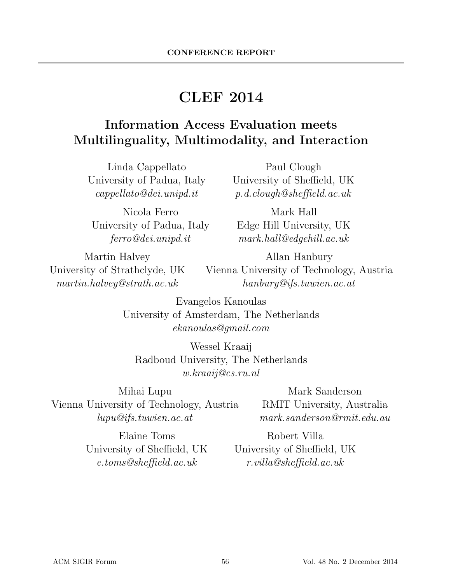# CLEF 2014

### Information Access Evaluation meets Multilinguality, Multimodality, and Interaction

Linda Cappellato University of Padua, Italy cappellato@dei.unipd.it

Nicola Ferro University of Padua, Italy ferro@dei.unipd.it

Paul Clough University of Sheffield, UK p.d.clough@sheffield.ac.uk

Mark Hall Edge Hill University, UK mark.hall@edgehill.ac.uk

Martin Halvey University of Strathclyde, UK martin.halvey@strath.ac.uk

Allan Hanbury Vienna University of Technology, Austria hanbury@ifs.tuwien.ac.at

Evangelos Kanoulas University of Amsterdam, The Netherlands ekanoulas@gmail.com

Wessel Kraaij Radboud University, The Netherlands w.kraaij@cs.ru.nl

Mihai Lupu Vienna University of Technology, Austria lupu@ifs.tuwien.ac.at

Mark Sanderson RMIT University, Australia mark.sanderson@rmit.edu.au

Elaine Toms University of Sheffield, UK e.toms@sheffield.ac.uk

Robert Villa University of Sheffield, UK r.villa@sheffield.ac.uk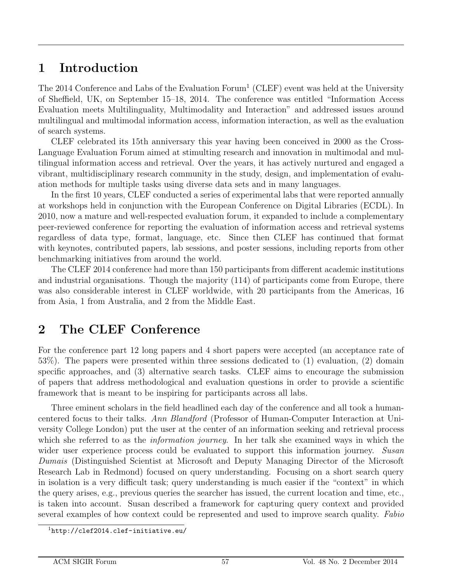### 1 Introduction

The 2014 Conference and Labs of the Evaluation  $\text{Form}^1$  (CLEF) event was held at the University of Sheffield, UK, on September 15–18, 2014. The conference was entitled "Information Access Evaluation meets Multilinguality, Multimodality and Interaction" and addressed issues around multilingual and multimodal information access, information interaction, as well as the evaluation of search systems.

CLEF celebrated its 15th anniversary this year having been conceived in 2000 as the Cross-Language Evaluation Forum aimed at stimulting research and innovation in multimodal and multilingual information access and retrieval. Over the years, it has actively nurtured and engaged a vibrant, multidisciplinary research community in the study, design, and implementation of evaluation methods for multiple tasks using diverse data sets and in many languages.

In the first 10 years, CLEF conducted a series of experimental labs that were reported annually at workshops held in conjunction with the European Conference on Digital Libraries (ECDL). In 2010, now a mature and well-respected evaluation forum, it expanded to include a complementary peer-reviewed conference for reporting the evaluation of information access and retrieval systems regardless of data type, format, language, etc. Since then CLEF has continued that format with keynotes, contributed papers, lab sessions, and poster sessions, including reports from other benchmarking initiatives from around the world.

The CLEF 2014 conference had more than 150 participants from different academic institutions and industrial organisations. Though the majority (114) of participants come from Europe, there was also considerable interest in CLEF worldwide, with 20 participants from the Americas, 16 from Asia, 1 from Australia, and 2 from the Middle East.

### 2 The CLEF Conference

For the conference part 12 long papers and 4 short papers were accepted (an acceptance rate of 53%). The papers were presented within three sessions dedicated to (1) evaluation, (2) domain specific approaches, and (3) alternative search tasks. CLEF aims to encourage the submission of papers that address methodological and evaluation questions in order to provide a scientific framework that is meant to be inspiring for participants across all labs.

Three eminent scholars in the field headlined each day of the conference and all took a humancentered focus to their talks. Ann Blandford (Professor of Human-Computer Interaction at University College London) put the user at the center of an information seeking and retrieval process which she referred to as the *information journey*. In her talk she examined ways in which the wider user experience process could be evaluated to support this information journey. Susan Dumais (Distinguished Scientist at Microsoft and Deputy Managing Director of the Microsoft Research Lab in Redmond) focused on query understanding. Focusing on a short search query in isolation is a very difficult task; query understanding is much easier if the "context" in which the query arises, e.g., previous queries the searcher has issued, the current location and time, etc., is taken into account. Susan described a framework for capturing query context and provided several examples of how context could be represented and used to improve search quality. Fabio

<sup>1</sup>http://clef2014.clef-initiative.eu/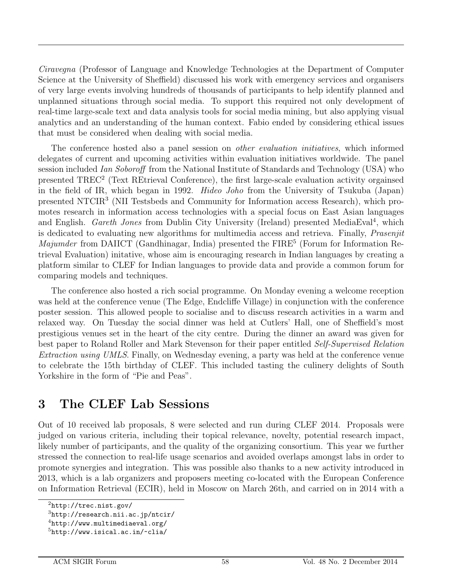Ciravegna (Professor of Language and Knowledge Technologies at the Department of Computer Science at the University of Sheffield) discussed his work with emergency services and organisers of very large events involving hundreds of thousands of participants to help identify planned and unplanned situations through social media. To support this required not only development of real-time large-scale text and data analysis tools for social media mining, but also applying visual analytics and an understanding of the human context. Fabio ended by considering ethical issues that must be considered when dealing with social media.

The conference hosted also a panel session on *other evaluation initiatives*, which informed delegates of current and upcoming activities within evaluation initiatives worldwide. The panel session included Ian Soboroff from the National Institute of Standards and Technology (USA) who presented TREC<sup>2</sup> (Text REtrieval Conference), the first large-scale evaluation activity orgainsed in the field of IR, which began in 1992. Hideo Joho from the University of Tsukuba (Japan) presented NTCIR<sup>3</sup> (NII Testsbeds and Community for Information access Research), which promotes research in information access technologies with a special focus on East Asian languages and English. Gareth Jones from Dublin City University (Ireland) presented MediaEval<sup>4</sup>, which is dedicated to evaluating new algorithms for multimedia access and retrieva. Finally, Prasenjit Majumder from DAIICT (Gandhinagar, India) presented the FIRE<sup>5</sup> (Forum for Information Retrieval Evaluation) initative, whose aim is encouraging research in Indian languages by creating a platform similar to CLEF for Indian languages to provide data and provide a common forum for comparing models and techniques.

The conference also hosted a rich social programme. On Monday evening a welcome reception was held at the conference venue (The Edge, Endcliffe Village) in conjunction with the conference poster session. This allowed people to socialise and to discuss research activities in a warm and relaxed way. On Tuesday the social dinner was held at Cutlers' Hall, one of Sheffield's most prestigious venues set in the heart of the city centre. During the dinner an award was given for best paper to Roland Roller and Mark Stevenson for their paper entitled Self-Supervised Relation Extraction using UMLS. Finally, on Wednesday evening, a party was held at the conference venue to celebrate the 15th birthday of CLEF. This included tasting the culinery delights of South Yorkshire in the form of "Pie and Peas".

### 3 The CLEF Lab Sessions

Out of 10 received lab proposals, 8 were selected and run during CLEF 2014. Proposals were judged on various criteria, including their topical relevance, novelty, potential research impact, likely number of participants, and the quality of the organizing consortium. This year we further stressed the connection to real-life usage scenarios and avoided overlaps amongst labs in order to promote synergies and integration. This was possible also thanks to a new activity introduced in 2013, which is a lab organizers and proposers meeting co-located with the European Conference on Information Retrieval (ECIR), held in Moscow on March 26th, and carried on in 2014 with a

 $^{2}$ http://trec.nist.gov/

 $3$ http://research.nii.ac.jp/ntcir/

 $^{4}$ http://www.multimediaeval.org/

 $5$ http://www.isical.ac.in/~clia/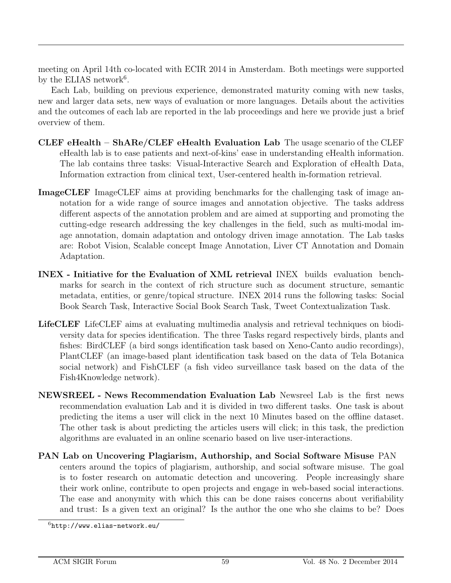meeting on April 14th co-located with ECIR 2014 in Amsterdam. Both meetings were supported by the ELIAS network<sup>6</sup>.

Each Lab, building on previous experience, demonstrated maturity coming with new tasks, new and larger data sets, new ways of evaluation or more languages. Details about the activities and the outcomes of each lab are reported in the lab proceedings and here we provide just a brief overview of them.

- CLEF eHealth ShARe/CLEF eHealth Evaluation Lab The usage scenario of the CLEF eHealth lab is to ease patients and next-of-kins' ease in understanding eHealth information. The lab contains three tasks: Visual-Interactive Search and Exploration of eHealth Data, Information extraction from clinical text, User-centered health in-formation retrieval.
- ImageCLEF ImageCLEF aims at providing benchmarks for the challenging task of image annotation for a wide range of source images and annotation objective. The tasks address different aspects of the annotation problem and are aimed at supporting and promoting the cutting-edge research addressing the key challenges in the field, such as multi-modal image annotation, domain adaptation and ontology driven image annotation. The Lab tasks are: Robot Vision, Scalable concept Image Annotation, Liver CT Annotation and Domain Adaptation.
- INEX Initiative for the Evaluation of XML retrieval INEX builds evaluation benchmarks for search in the context of rich structure such as document structure, semantic metadata, entities, or genre/topical structure. INEX 2014 runs the following tasks: Social Book Search Task, Interactive Social Book Search Task, Tweet Contextualization Task.
- LifeCLEF LifeCLEF aims at evaluating multimedia analysis and retrieval techniques on biodiversity data for species identification. The three Tasks regard respectively birds, plants and fishes: BirdCLEF (a bird songs identification task based on Xeno-Canto audio recordings), PlantCLEF (an image-based plant identification task based on the data of Tela Botanica social network) and FishCLEF (a fish video surveillance task based on the data of the Fish4Knowledge network).
- NEWSREEL News Recommendation Evaluation Lab Newsreel Lab is the first news recommendation evaluation Lab and it is divided in two different tasks. One task is about predicting the items a user will click in the next 10 Minutes based on the offline dataset. The other task is about predicting the articles users will click; in this task, the prediction algorithms are evaluated in an online scenario based on live user-interactions.
- PAN Lab on Uncovering Plagiarism, Authorship, and Social Software Misuse PAN centers around the topics of plagiarism, authorship, and social software misuse. The goal is to foster research on automatic detection and uncovering. People increasingly share their work online, contribute to open projects and engage in web-based social interactions. The ease and anonymity with which this can be done raises concerns about verifiability and trust: Is a given text an original? Is the author the one who she claims to be? Does

 $6$ http://www.elias-network.eu/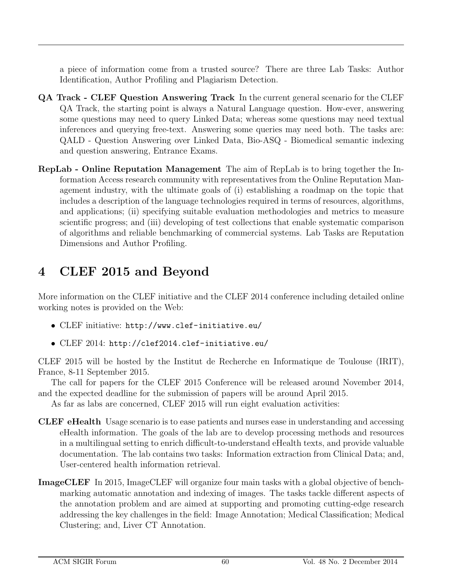a piece of information come from a trusted source? There are three Lab Tasks: Author Identification, Author Profiling and Plagiarism Detection.

- QA Track CLEF Question Answering Track In the current general scenario for the CLEF QA Track, the starting point is always a Natural Language question. How-ever, answering some questions may need to query Linked Data; whereas some questions may need textual inferences and querying free-text. Answering some queries may need both. The tasks are: QALD - Question Answering over Linked Data, Bio-ASQ - Biomedical semantic indexing and question answering, Entrance Exams.
- RepLab Online Reputation Management The aim of RepLab is to bring together the Information Access research community with representatives from the Online Reputation Management industry, with the ultimate goals of (i) establishing a roadmap on the topic that includes a description of the language technologies required in terms of resources, algorithms, and applications; (ii) specifying suitable evaluation methodologies and metrics to measure scientific progress; and (iii) developing of test collections that enable systematic comparison of algorithms and reliable benchmarking of commercial systems. Lab Tasks are Reputation Dimensions and Author Profiling.

# 4 CLEF 2015 and Beyond

More information on the CLEF initiative and the CLEF 2014 conference including detailed online working notes is provided on the Web:

- CLEF initiative: http://www.clef-initiative.eu/
- CLEF 2014: http://clef2014.clef-initiative.eu/

CLEF 2015 will be hosted by the Institut de Recherche en Informatique de Toulouse (IRIT), France, 8-11 September 2015.

The call for papers for the CLEF 2015 Conference will be released around November 2014, and the expected deadline for the submission of papers will be around April 2015.

As far as labs are concerned, CLEF 2015 will run eight evaluation activities:

- CLEF eHealth Usage scenario is to ease patients and nurses ease in understanding and accessing eHealth information. The goals of the lab are to develop processing methods and resources in a multilingual setting to enrich difficult-to-understand eHealth texts, and provide valuable documentation. The lab contains two tasks: Information extraction from Clinical Data; and, User-centered health information retrieval.
- ImageCLEF In 2015, ImageCLEF will organize four main tasks with a global objective of benchmarking automatic annotation and indexing of images. The tasks tackle different aspects of the annotation problem and are aimed at supporting and promoting cutting-edge research addressing the key challenges in the field: Image Annotation; Medical Classification; Medical Clustering; and, Liver CT Annotation.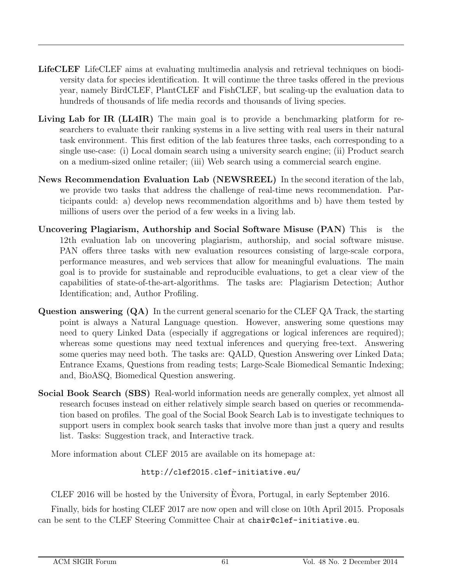- LifeCLEF LifeCLEF aims at evaluating multimedia analysis and retrieval techniques on biodiversity data for species identification. It will continue the three tasks offered in the previous year, namely BirdCLEF, PlantCLEF and FishCLEF, but scaling-up the evaluation data to hundreds of thousands of life media records and thousands of living species.
- Living Lab for IR (LL4IR) The main goal is to provide a benchmarking platform for researchers to evaluate their ranking systems in a live setting with real users in their natural task environment. This first edition of the lab features three tasks, each corresponding to a single use-case: (i) Local domain search using a university search engine; (ii) Product search on a medium-sized online retailer; (iii) Web search using a commercial search engine.
- News Recommendation Evaluation Lab (NEWSREEL) In the second iteration of the lab, we provide two tasks that address the challenge of real-time news recommendation. Participants could: a) develop news recommendation algorithms and b) have them tested by millions of users over the period of a few weeks in a living lab.
- Uncovering Plagiarism, Authorship and Social Software Misuse (PAN) This is the 12th evaluation lab on uncovering plagiarism, authorship, and social software misuse. PAN offers three tasks with new evaluation resources consisting of large-scale corpora, performance measures, and web services that allow for meaningful evaluations. The main goal is to provide for sustainable and reproducible evaluations, to get a clear view of the capabilities of state-of-the-art-algorithms. The tasks are: Plagiarism Detection; Author Identification; and, Author Profiling.
- Question answering (QA) In the current general scenario for the CLEF QA Track, the starting point is always a Natural Language question. However, answering some questions may need to query Linked Data (especially if aggregations or logical inferences are required); whereas some questions may need textual inferences and querying free-text. Answering some queries may need both. The tasks are: QALD, Question Answering over Linked Data; Entrance Exams, Questions from reading tests; Large-Scale Biomedical Semantic Indexing; and, BioASQ, Biomedical Question answering.
- Social Book Search (SBS) Real-world information needs are generally complex, yet almost all research focuses instead on either relatively simple search based on queries or recommendation based on profiles. The goal of the Social Book Search Lab is to investigate techniques to support users in complex book search tasks that involve more than just a query and results list. Tasks: Suggestion track, and Interactive track.

More information about CLEF 2015 are available on its homepage at:

#### http://clef2015.clef-initiative.eu/

CLEF 2016 will be hosted by the University of Evora, Portugal, in early September 2016. `

Finally, bids for hosting CLEF 2017 are now open and will close on 10th April 2015. Proposals can be sent to the CLEF Steering Committee Chair at chair@clef-initiative.eu.